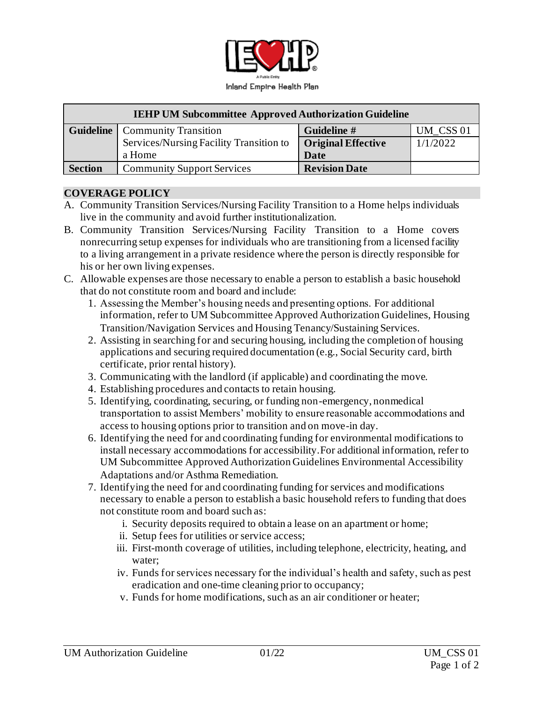

| <b>IEHP UM Subcommittee Approved Authorization Guideline</b> |                                         |                           |           |
|--------------------------------------------------------------|-----------------------------------------|---------------------------|-----------|
|                                                              | <b>Guideline</b>   Community Transition | Guideline #               | UM CSS 01 |
|                                                              | Services/Nursing Facility Transition to | <b>Original Effective</b> | 1/1/2022  |
|                                                              | a Home                                  | Date                      |           |
| <b>Section</b>                                               | <b>Community Support Services</b>       | <b>Revision Date</b>      |           |

### **COVERAGE POLICY**

- A. Community Transition Services/Nursing Facility Transition to a Home helps individuals live in the community and avoid further institutionalization.
- B. Community Transition Services/Nursing Facility Transition to a Home covers nonrecurring setup expenses for individuals who are transitioning from a licensed facility to a living arrangement in a private residence where the person is directly responsible for his or her own living expenses.
- C. Allowable expenses are those necessary to enable a person to establish a basic household that do not constitute room and board and include:
	- 1. Assessing the Member's housing needs and presenting options. For additional information, refer to UM Subcommittee Approved Authorization Guidelines, Housing Transition/Navigation Services and Housing Tenancy/Sustaining Services.
	- 2. Assisting in searching for and securing housing, including the completion of housing applications and securing required documentation (e.g., Social Security card, birth certificate, prior rental history).
	- 3. Communicating with the landlord (if applicable) and coordinating the move.
	- 4. Establishing procedures and contacts to retain housing.
	- 5. Identifying, coordinating, securing, or funding non-emergency, nonmedical transportation to assist Members' mobility to ensure reasonable accommodations and access to housing options prior to transition and on move-in day.
	- 6. Identifying the need for and coordinating funding for environmental modifications to install necessary accommodations for accessibility.For additional information, refer to UM Subcommittee Approved Authorization Guidelines Environmental Accessibility Adaptations and/or Asthma Remediation.
	- 7. Identifying the need for and coordinating funding for services and modifications necessary to enable a person to establish a basic household refers to funding that does not constitute room and board such as:
		- i. Security deposits required to obtain a lease on an apartment or home;
		- ii. Setup fees for utilities or service access;
		- iii. First-month coverage of utilities, including telephone, electricity, heating, and water;
		- iv. Funds for services necessary for the individual's health and safety, such as pest eradication and one-time cleaning prior to occupancy;
		- v. Funds for home modifications, such as an air conditioner or heater;